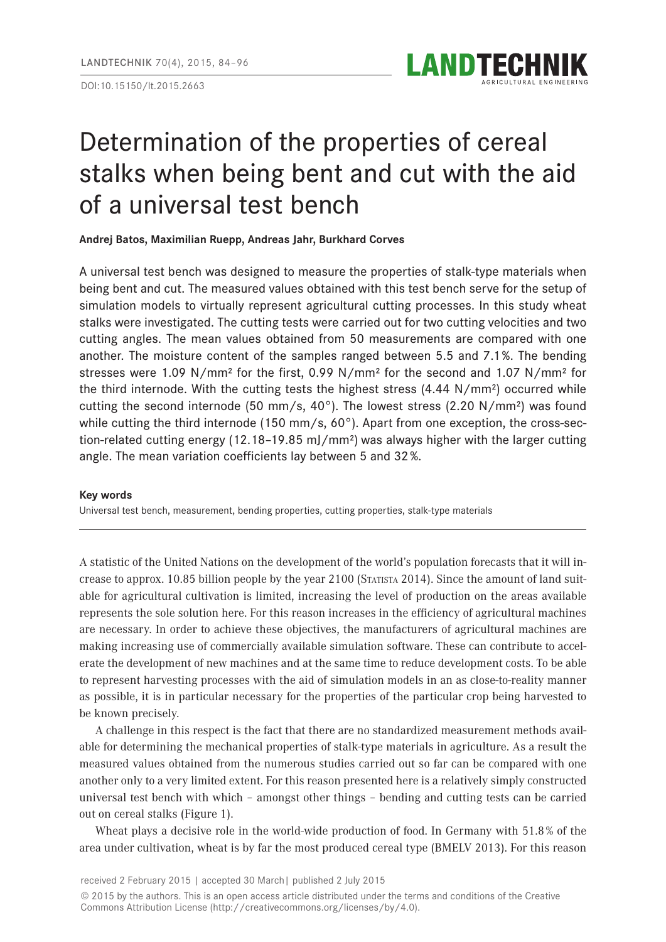DOI:10.15150/lt.2015.2663



# Determination of the properties of cereal stalks when being bent and cut with the aid of a universal test bench

**Andrej Batos, Maximilian Ruepp, Andreas Jahr, Burkhard Corves**

A universal test bench was designed to measure the properties of stalk-type materials when being bent and cut. The measured values obtained with this test bench serve for the setup of simulation models to virtually represent agricultural cutting processes. In this study wheat stalks were investigated. The cutting tests were carried out for two cutting velocities and two cutting angles. The mean values obtained from 50 measurements are compared with one another. The moisture content of the samples ranged between 5.5 and 7.1%. The bending stresses were 1.09 N/mm² for the first, 0.99 N/mm² for the second and 1.07 N/mm² for the third internode. With the cutting tests the highest stress  $(4.44 \text{ N/mm}^2)$  occurred while cutting the second internode (50 mm/s,  $40^{\circ}$ ). The lowest stress (2.20 N/mm<sup>2</sup>) was found while cutting the third internode (150 mm/s, 60°). Apart from one exception, the cross-section-related cutting energy (12.18–19.85 mJ/mm²) was always higher with the larger cutting angle. The mean variation coefficients lay between 5 and 32%.

#### **Key words**

Universal test bench, measurement, bending properties, cutting properties, stalk-type materials

A statistic of the United Nations on the development of the world's population forecasts that it will increase to approx. 10.85 billion people by the year 2100 (Statista 2014). Since the amount of land suitable for agricultural cultivation is limited, increasing the level of production on the areas available represents the sole solution here. For this reason increases in the efficiency of agricultural machines are necessary. In order to achieve these objectives, the manufacturers of agricultural machines are making increasing use of commercially available simulation software. These can contribute to accelerate the development of new machines and at the same time to reduce development costs. To be able to represent harvesting processes with the aid of simulation models in an as close-to-reality manner as possible, it is in particular necessary for the properties of the particular crop being harvested to be known precisely.

A challenge in this respect is the fact that there are no standardized measurement methods available for determining the mechanical properties of stalk-type materials in agriculture. As a result the measured values obtained from the numerous studies carried out so far can be compared with one another only to a very limited extent. For this reason presented here is a relatively simply constructed universal test bench with which – amongst other things – bending and cutting tests can be carried out on cereal stalks (Figure 1).

Wheat plays a decisive role in the world-wide production of food. In Germany with 51.8% of the area under cultivation, wheat is by far the most produced cereal type (BMELV 2013). For this reason

<sup>© 2015</sup> by the authors. This is an open access article distributed under the terms and conditions of the Creative Commons Attribution License (http://creativecommons.org/licenses/by/4.0).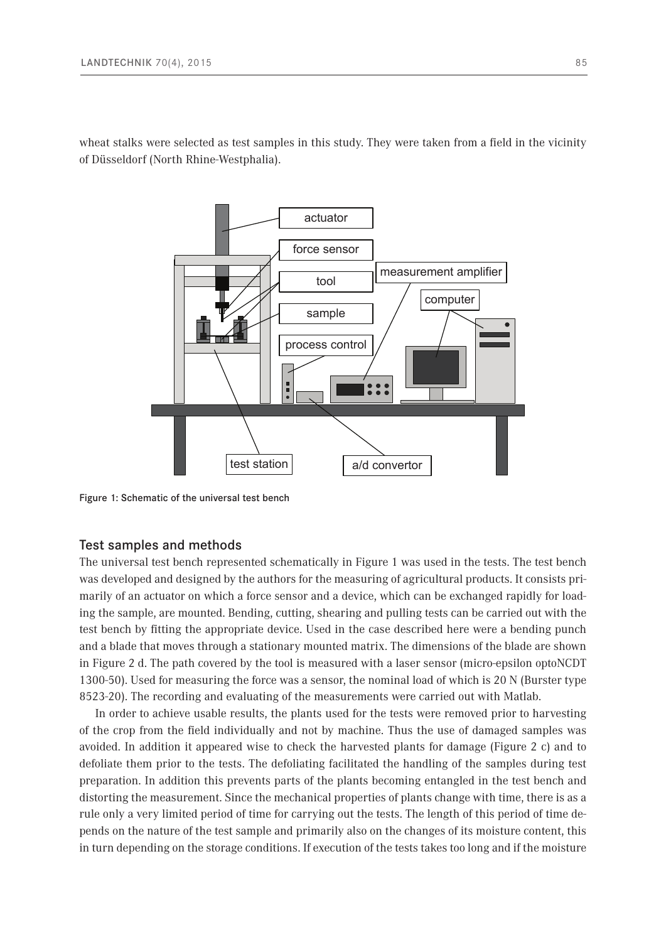wheat stalks were selected as test samples in this study. They were taken from a field in the vicinity of Düsseldorf (North Rhine-Westphalia).



Figure 1: Schematic of the universal test bench

#### Test samples and methods

The universal test bench represented schematically in Figure 1 was used in the tests. The test bench was developed and designed by the authors for the measuring of agricultural products. It consists primarily of an actuator on which a force sensor and a device, which can be exchanged rapidly for loading the sample, are mounted. Bending, cutting, shearing and pulling tests can be carried out with the test bench by fitting the appropriate device. Used in the case described here were a bending punch and a blade that moves through a stationary mounted matrix. The dimensions of the blade are shown in Figure 2 d. The path covered by the tool is measured with a laser sensor (micro-epsilon optoNCDT 1300-50). Used for measuring the force was a sensor, the nominal load of which is 20 N (Burster type 8523-20). The recording and evaluating of the measurements were carried out with Matlab.

In order to achieve usable results, the plants used for the tests were removed prior to harvesting of the crop from the field individually and not by machine. Thus the use of damaged samples was avoided. In addition it appeared wise to check the harvested plants for damage (Figure 2 c) and to defoliate them prior to the tests. The defoliating facilitated the handling of the samples during test preparation. In addition this prevents parts of the plants becoming entangled in the test bench and distorting the measurement. Since the mechanical properties of plants change with time, there is as a rule only a very limited period of time for carrying out the tests. The length of this period of time depends on the nature of the test sample and primarily also on the changes of its moisture content, this in turn depending on the storage conditions. If execution of the tests takes too long and if the moisture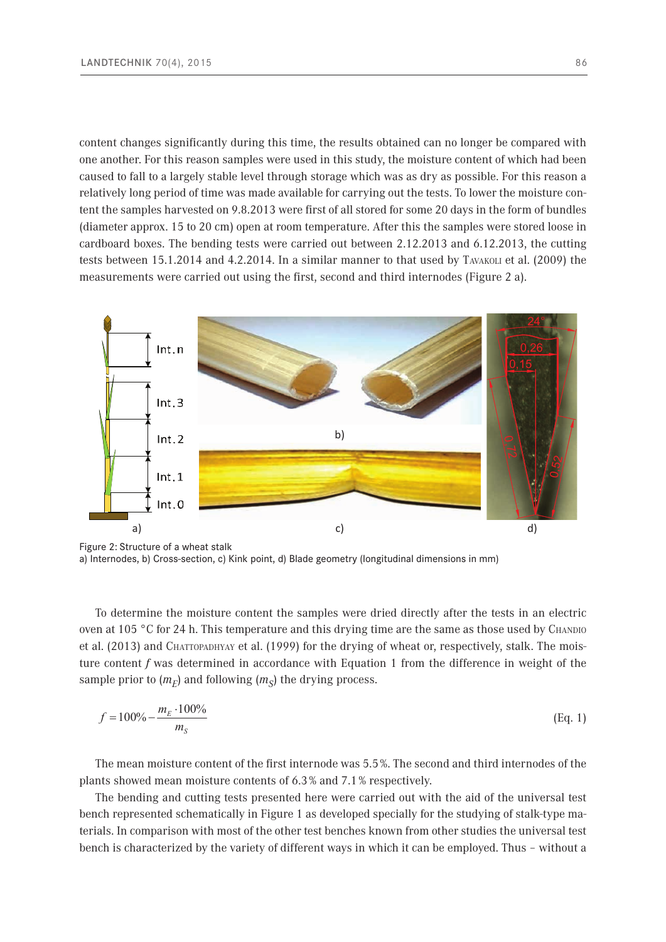content changes significantly during this time, the results obtained can no longer be compared with one another. For this reason samples were used in this study, the moisture content of which had been caused to fall to a largely stable level through storage which was as dry as possible. For this reason a relatively long period of time was made available for carrying out the tests. To lower the moisture content the samples harvested on 9.8.2013 were first of all stored for some 20 days in the form of bundles (diameter approx. 15 to 20 cm) open at room temperature. After this the samples were stored loose in cardboard boxes. The bending tests were carried out between 2.12.2013 and 6.12.2013, the cutting tests between 15.1.2014 and 4.2.2014. In a similar manner to that used by Tavakoli et al. (2009) the measurements were carried out using the first, second and third internodes (Figure 2 a).



Figure 2: Structure of a wheat stalk a) Internodes, b) Cross-section, c) Kink point, d) Blade geometry (longitudinal dimensions in mm)

To determine the moisture content the samples were dried directly after the tests in an electric oven at 105 °C for 24 h. This temperature and this drying time are the same as those used by Chandio et al. (2013) and Chattopadhyay et al. (1999) for the drying of wheat or, respectively, stalk. The moisture content *f* was determined in accordance with Equation 1 from the difference in weight of the sample prior to  $(m_F)$  and following  $(m_S)$  the drying process.

$$
f = 100\% - \frac{m_E \cdot 100\%}{m_S} \tag{Eq. 1}
$$

The mean moisture content of the first internode was 5.5%. The second and third internodes of the plants showed mean moisture contents of 6.3% and 7.1% respectively.

The bending and cutting tests presented here were carried out with the aid of the universal test bench represented schematically in Figure 1 as developed specially for the studying of stalk-type materials. In comparison with most of the other test benches known from other studies the universal test bench is characterized by the variety of different ways in which it can be employed. Thus – without a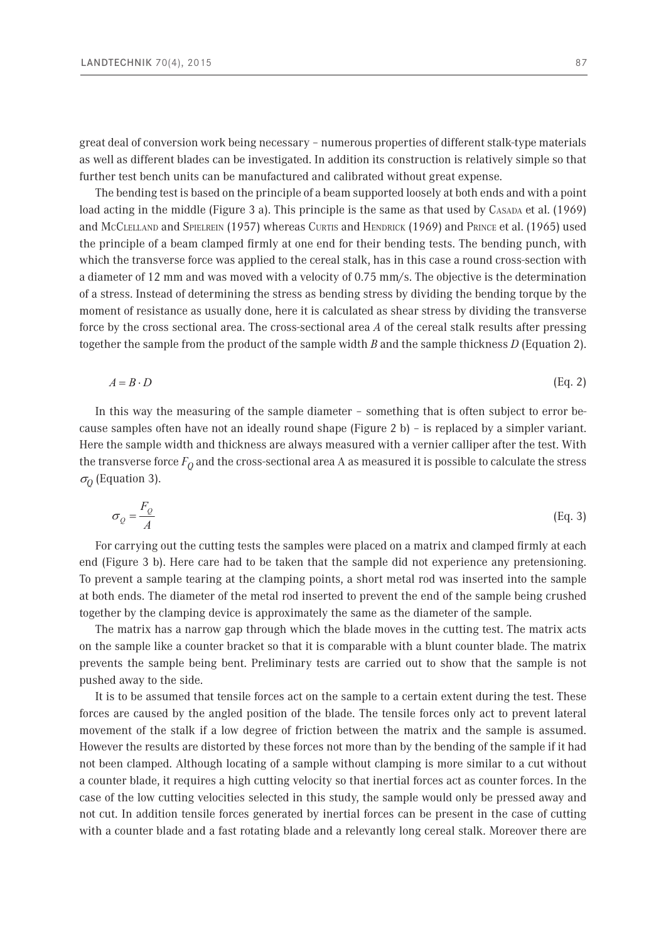great deal of conversion work being necessary – numerous properties of different stalk-type materials as well as different blades can be investigated. In addition its construction is relatively simple so that further test bench units can be manufactured and calibrated without great expense.

The bending test is based on the principle of a beam supported loosely at both ends and with a point load acting in the middle (Figure 3 a). This principle is the same as that used by CASADA et al. (1969) and McCLELLAND and SPIELREIN (1957) whereas CURTIS and HENDRICK (1969) and PRINCE et al. (1965) used the principle of a beam clamped firmly at one end for their bending tests. The bending punch, with which the transverse force was applied to the cereal stalk, has in this case a round cross-section with a diameter of 12 mm and was moved with a velocity of 0.75 mm/s. The objective is the determination of a stress. Instead of determining the stress as bending stress by dividing the bending torque by the moment of resistance as usually done, here it is calculated as shear stress by dividing the transverse force by the cross sectional area. The cross-sectional area *A* of the cereal stalk results after pressing together the sample from the product of the sample width *B* and the sample thickness *D* (Equation 2).

$$
A = B \cdot D \tag{Eq. 2}
$$

In this way the measuring of the sample diameter – something that is often subject to error because samples often have not an ideally round shape (Figure 2 b) – is replaced by a simpler variant. Here the sample width and thickness are always measured with a vernier calliper after the test. With the transverse force  $F_Q$  and the cross-sectional area A as measured it is possible to calculate the stress  $\sigma$ <sub>O</sub> (Equation 3).

$$
\sigma_Q = \frac{F_Q}{A} \tag{Eq. 3}
$$

For carrying out the cutting tests the samples were placed on a matrix and clamped firmly at each end (Figure 3 b). Here care had to be taken that the sample did not experience any pretensioning. To prevent a sample tearing at the clamping points, a short metal rod was inserted into the sample at both ends. The diameter of the metal rod inserted to prevent the end of the sample being crushed together by the clamping device is approximately the same as the diameter of the sample.

The matrix has a narrow gap through which the blade moves in the cutting test. The matrix acts on the sample like a counter bracket so that it is comparable with a blunt counter blade. The matrix prevents the sample being bent. Preliminary tests are carried out to show that the sample is not pushed away to the side.

It is to be assumed that tensile forces act on the sample to a certain extent during the test. These forces are caused by the angled position of the blade. The tensile forces only act to prevent lateral movement of the stalk if a low degree of friction between the matrix and the sample is assumed. However the results are distorted by these forces not more than by the bending of the sample if it had not been clamped. Although locating of a sample without clamping is more similar to a cut without a counter blade, it requires a high cutting velocity so that inertial forces act as counter forces. In the case of the low cutting velocities selected in this study, the sample would only be pressed away and not cut. In addition tensile forces generated by inertial forces can be present in the case of cutting with a counter blade and a fast rotating blade and a relevantly long cereal stalk. Moreover there are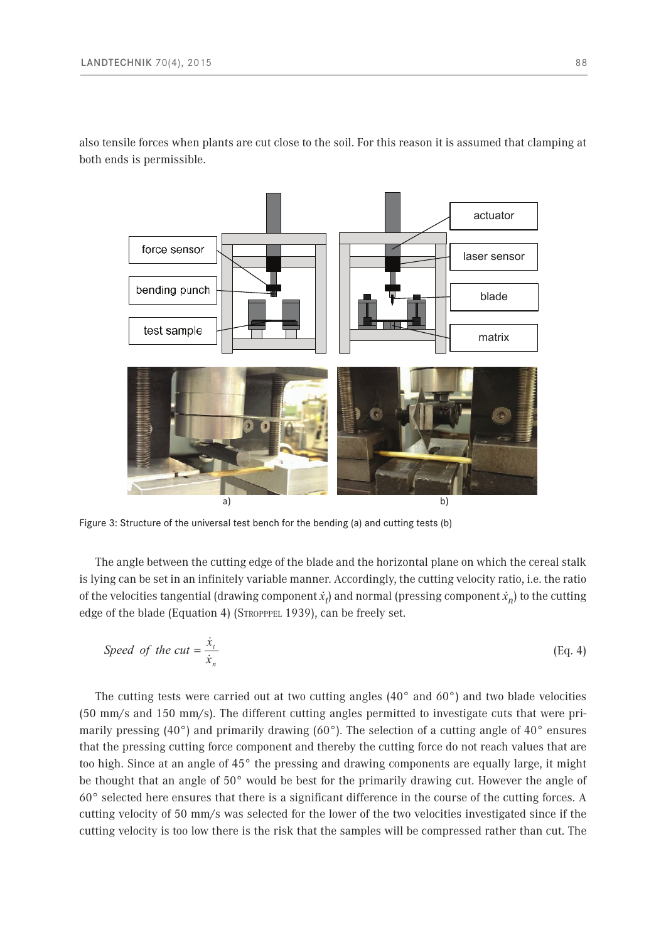

also tensile forces when plants are cut close to the soil. For this reason it is assumed that clamping at both ends is permissible.

Figure 3: Structure of the universal test bench for the bending (a) and cutting tests (b)

The angle between the cutting edge of the blade and the horizontal plane on which the cereal stalk is lying can be set in an infinitely variable manner. Accordingly, the cutting velocity ratio, i.e. the ratio of the velocities tangential (drawing component  $\dot{x}_t$ ) and normal (pressing component  $\dot{x}_n$ ) to the cutting edge of the blade (Equation 4) (STROPPPEL 1939), can be freely set.

Speed of the cut 
$$
=
$$
  $\frac{\dot{x}_t}{\dot{x}_n}$  (Eq. 4)

The cutting tests were carried out at two cutting angles  $(40^\circ \text{ and } 60^\circ)$  and two blade velocities (50 mm/s and 150 mm/s). The different cutting angles permitted to investigate cuts that were primarily pressing (40°) and primarily drawing (60°). The selection of a cutting angle of 40° ensures that the pressing cutting force component and thereby the cutting force do not reach values that are too high. Since at an angle of 45° the pressing and drawing components are equally large, it might be thought that an angle of 50° would be best for the primarily drawing cut. However the angle of 60° selected here ensures that there is a significant difference in the course of the cutting forces. A cutting velocity of 50 mm/s was selected for the lower of the two velocities investigated since if the cutting velocity is too low there is the risk that the samples will be compressed rather than cut. The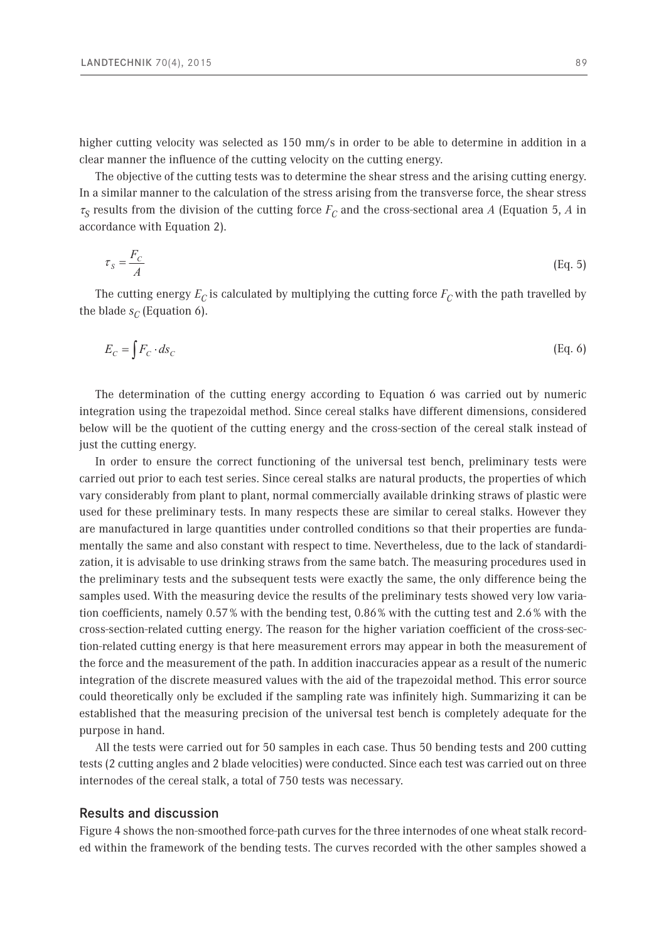higher cutting velocity was selected as 150 mm/s in order to be able to determine in addition in a clear manner the influence of the cutting velocity on the cutting energy.

The objective of the cutting tests was to determine the shear stress and the arising cutting energy. In a similar manner to the calculation of the stress arising from the transverse force, the shear stress  $\tau_S$  results from the division of the cutting force  $F_C$  and the cross-sectional area *A* (Equation 5, *A* in accordance with Equation 2).

$$
\tau_s = \frac{F_c}{A} \tag{Eq. 5}
$$

The cutting energy  $E_C$  is calculated by multiplying the cutting force  $F_C$  with the path travelled by the blade  $s_C$  (Equation 6).

$$
E_C = \int F_C \cdot ds_C \tag{Eq. 6}
$$

The determination of the cutting energy according to Equation 6 was carried out by numeric integration using the trapezoidal method. Since cereal stalks have different dimensions, considered below will be the quotient of the cutting energy and the cross-section of the cereal stalk instead of just the cutting energy.

In order to ensure the correct functioning of the universal test bench, preliminary tests were carried out prior to each test series. Since cereal stalks are natural products, the properties of which vary considerably from plant to plant, normal commercially available drinking straws of plastic were used for these preliminary tests. In many respects these are similar to cereal stalks. However they are manufactured in large quantities under controlled conditions so that their properties are fundamentally the same and also constant with respect to time. Nevertheless, due to the lack of standardization, it is advisable to use drinking straws from the same batch. The measuring procedures used in the preliminary tests and the subsequent tests were exactly the same, the only difference being the samples used. With the measuring device the results of the preliminary tests showed very low variation coefficients, namely 0.57% with the bending test, 0.86% with the cutting test and 2.6% with the cross-section-related cutting energy. The reason for the higher variation coefficient of the cross-section-related cutting energy is that here measurement errors may appear in both the measurement of the force and the measurement of the path. In addition inaccuracies appear as a result of the numeric integration of the discrete measured values with the aid of the trapezoidal method. This error source could theoretically only be excluded if the sampling rate was infinitely high. Summarizing it can be established that the measuring precision of the universal test bench is completely adequate for the purpose in hand.

All the tests were carried out for 50 samples in each case. Thus 50 bending tests and 200 cutting tests (2 cutting angles and 2 blade velocities) were conducted. Since each test was carried out on three internodes of the cereal stalk, a total of 750 tests was necessary.

#### Results and discussion

Figure 4 shows the non-smoothed force-path curves for the three internodes of one wheat stalk recorded within the framework of the bending tests. The curves recorded with the other samples showed a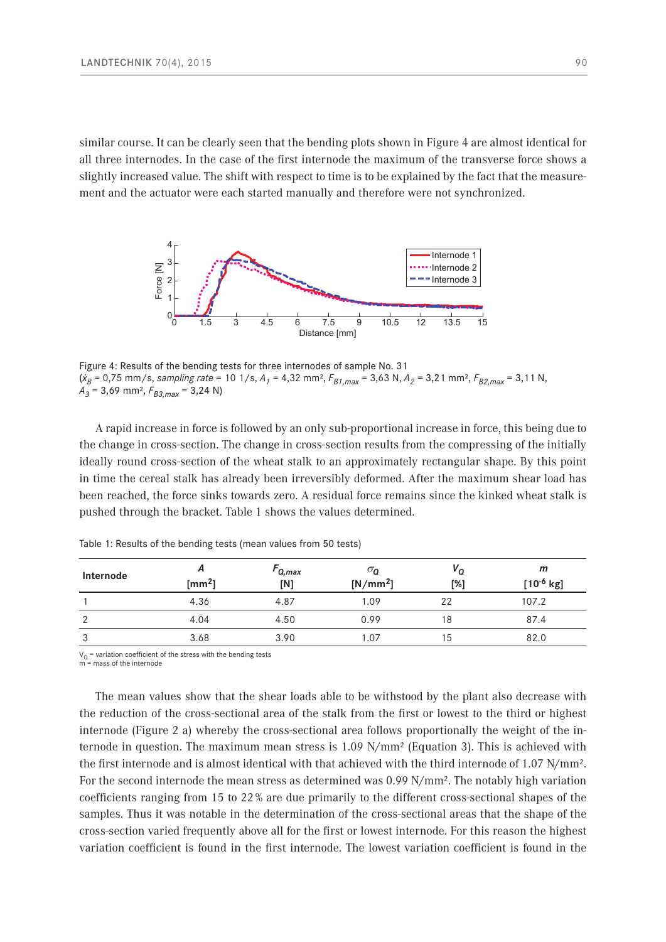similar course. It can be clearly seen that the bending plots shown in Figure 4 are almost identical for all three internodes. In the case of the first internode the maximum of the transverse force shows a slightly increased value. The shift with respect to time is to be explained by the fact that the measurement and the actuator were each started manually and therefore were not synchronized.



Figure 4: Results of the bending tests for three internodes of sample No. 31  $(\dot{x}_B = 0.75 \text{ mm/s}, \text{ sampling rate} = 10 \frac{1}{s}, A_1 = 4.32 \text{ mm}^2, F_{B1,max} = 3.63 \text{ N}, A_2 = 3.21 \text{ mm}^2, F_{B2,max} = 3.11 \text{ N},$  $A_3$  = 3,69 mm<sup>2</sup>,  $F_{B3,max}$  = 3,24 N)

A rapid increase in force is followed by an only sub-proportional increase in force, this being due to the change in cross-section. The change in cross-section results from the compressing of the initially ideally round cross-section of the wheat stalk to an approximately rectangular shape. By this point in time the cereal stalk has already been irreversibly deformed. After the maximum shear load has been reached, the force sinks towards zero. A residual force remains since the kinked wheat stalk is pushed through the bracket. Table 1 shows the values determined.

| Internode | $\text{[mm$^2$]}$ | $\ulcorner$ Q,max<br>[N] | $\mathcal{O}_{\mathbf{Q}}$<br>$[N/mm^2]$ | ΄ Ο<br>[%] | m<br>[10 <sup>-6</sup> kg] |
|-----------|-------------------|--------------------------|------------------------------------------|------------|----------------------------|
|           | 4.36              | 4.87                     | 1.09                                     | 22         | 107.2                      |
| 2         | 4.04              | 4.50                     | 0.99                                     | 18         | 87.4                       |
| 3         | 3.68              | 3.90                     | 1.07                                     | 15         | 82.0                       |

Table 1: Results of the bending tests (mean values from 50 tests)

 $V_Q$  = variation coefficient of the stress with the bending tests

 $m =$  mass of the internode

The mean values show that the shear loads able to be withstood by the plant also decrease with the reduction of the cross-sectional area of the stalk from the first or lowest to the third or highest internode (Figure 2 a) whereby the cross-sectional area follows proportionally the weight of the internode in question. The maximum mean stress is 1.09 N/mm² (Equation 3). This is achieved with the first internode and is almost identical with that achieved with the third internode of 1.07 N/mm². For the second internode the mean stress as determined was 0.99 N/mm². The notably high variation coefficients ranging from 15 to 22% are due primarily to the different cross-sectional shapes of the samples. Thus it was notable in the determination of the cross-sectional areas that the shape of the cross-section varied frequently above all for the first or lowest internode. For this reason the highest variation coefficient is found in the first internode. The lowest variation coefficient is found in the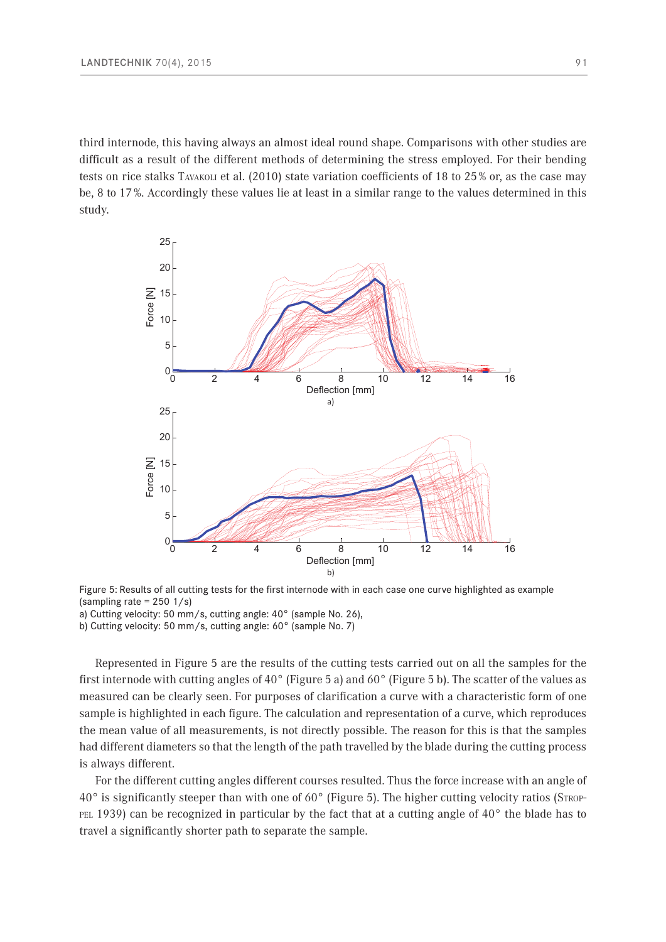third internode, this having always an almost ideal round shape. Comparisons with other studies are difficult as a result of the different methods of determining the stress employed. For their bending tests on rice stalks Tavakoli et al. (2010) state variation coefficients of 18 to 25% or, as the case may be, 8 to 17%. Accordingly these values lie at least in a similar range to the values determined in this study.



Figure 5: Results of all cutting tests for the first internode with in each case one curve highlighted as example (sampling rate =  $250 \frac{1}{s}$ )

a) Cutting velocity: 50 mm/s, cutting angle: 40° (sample No. 26),

b) Cutting velocity: 50 mm/s, cutting angle: 60° (sample No. 7)

Represented in Figure 5 are the results of the cutting tests carried out on all the samples for the first internode with cutting angles of 40° (Figure 5 a) and 60° (Figure 5 b). The scatter of the values as measured can be clearly seen. For purposes of clarification a curve with a characteristic form of one sample is highlighted in each figure. The calculation and representation of a curve, which reproduces the mean value of all measurements, is not directly possible. The reason for this is that the samples had different diameters so that the length of the path travelled by the blade during the cutting process is always different.

For the different cutting angles different courses resulted. Thus the force increase with an angle of 40° is significantly steeper than with one of 60° (Figure 5). The higher cutting velocity ratios (Stroppel 1939) can be recognized in particular by the fact that at a cutting angle of 40° the blade has to travel a significantly shorter path to separate the sample.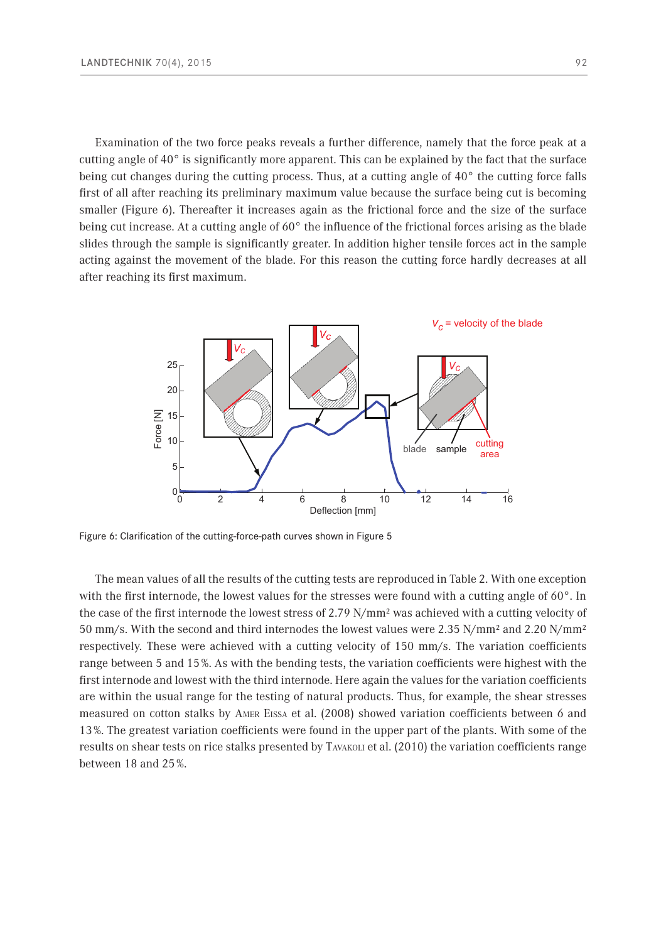Examination of the two force peaks reveals a further difference, namely that the force peak at a cutting angle of 40° is significantly more apparent. This can be explained by the fact that the surface being cut changes during the cutting process. Thus, at a cutting angle of 40° the cutting force falls first of all after reaching its preliminary maximum value because the surface being cut is becoming smaller (Figure 6). Thereafter it increases again as the frictional force and the size of the surface being cut increase. At a cutting angle of 60° the influence of the frictional forces arising as the blade slides through the sample is significantly greater. In addition higher tensile forces act in the sample acting against the movement of the blade. For this reason the cutting force hardly decreases at all after reaching its first maximum.



Figure 6: Clarification of the cutting-force-path curves shown in Figure 5

The mean values of all the results of the cutting tests are reproduced in Table 2. With one exception with the first internode, the lowest values for the stresses were found with a cutting angle of 60°. In the case of the first internode the lowest stress of 2.79 N/mm² was achieved with a cutting velocity of 50 mm/s. With the second and third internodes the lowest values were 2.35 N/mm² and 2.20 N/mm² respectively. These were achieved with a cutting velocity of 150 mm/s. The variation coefficients range between 5 and 15%. As with the bending tests, the variation coefficients were highest with the first internode and lowest with the third internode. Here again the values for the variation coefficients are within the usual range for the testing of natural products. Thus, for example, the shear stresses measured on cotton stalks by Amer Eissa et al. (2008) showed variation coefficients between 6 and 13%. The greatest variation coefficients were found in the upper part of the plants. With some of the results on shear tests on rice stalks presented by TAVAKOLI et al. (2010) the variation coefficients range between 18 and 25%.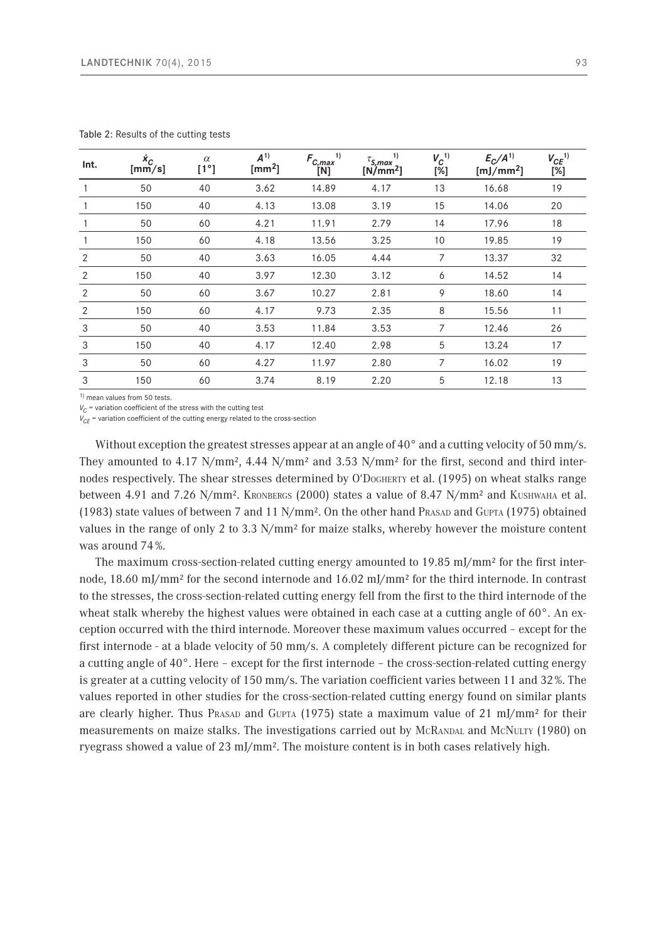| Int. | $\dot{x}_C$<br>[mm/s] | $\alpha$<br>$[1^{\circ}]$ | $A^{1}$<br>[ $mm2$ ] | 1)<br>$F_{C,max}$ <sup>1</sup> | 1)<br>$\tau_{S,max}$<br>$[N/mm^2]$ | $V_C$ <sup>1)</sup><br>[%] | $E_C/A^{1}$<br>$[m]/mm^2]$ | $V_{CE}$ <sup>1)</sup><br>$[\%]$ |
|------|-----------------------|---------------------------|----------------------|--------------------------------|------------------------------------|----------------------------|----------------------------|----------------------------------|
|      | 50                    | 40                        | 3.62                 | 14.89                          | 4.17                               | 13                         | 16.68                      | 19                               |
|      | 150                   | 40                        | 4.13                 | 13.08                          | 3.19                               | 15                         | 14.06                      | 20                               |
|      | 50                    | 60                        | 4.21                 | 11.91                          | 2.79                               | 14                         | 17.96                      | 18                               |
|      | 150                   | 60                        | 4.18                 | 13.56                          | 3.25                               | 10 <sup>1</sup>            | 19.85                      | 19                               |
| 2    | 50                    | 40                        | 3.63                 | 16.05                          | 4.44                               | 7                          | 13.37                      | 32                               |
| 2    | 150                   | 40                        | 3.97                 | 12.30                          | 3.12                               | 6                          | 14.52                      | 14                               |
| 2    | 50                    | 60                        | 3.67                 | 10.27                          | 2.81                               | 9                          | 18.60                      | 14                               |
| 2    | 150                   | 60                        | 4.17                 | 9.73                           | 2.35                               | 8                          | 15.56                      | 11                               |
| 3    | 50                    | 40                        | 3.53                 | 11.84                          | 3.53                               | 7                          | 12.46                      | 26                               |
| 3    | 150                   | 40                        | 4.17                 | 12.40                          | 2.98                               | 5                          | 13.24                      | 17                               |
| 3    | 50                    | 60                        | 4.27                 | 11.97                          | 2.80                               | 7                          | 16.02                      | 19                               |
| 3    | 150                   | 60                        | 3.74                 | 8.19                           | 2.20                               | 5                          | 12.18                      | 13                               |

Table 2: Results of the cutting tests

1) mean values from 50 tests.

 $V_C$  = variation coefficient of the stress with the cutting test

 $V_{CF}$  = variation coefficient of the cutting energy related to the cross-section

Without exception the greatest stresses appear at an angle of 40<sup>°</sup> and a cutting velocity of 50 mm/s. They amounted to 4.17 N/mm², 4.44 N/mm² and 3.53 N/mm² for the first, second and third internodes respectively. The shear stresses determined by O'Dogherty et al. (1995) on wheat stalks range between 4.91 and 7.26 N/mm<sup>2</sup>. KRONBERGS (2000) states a value of 8.47 N/mm<sup>2</sup> and KUSHWAHA et al. (1983) state values of between 7 and 11 N/mm². On the other hand Prasad and Gupta (1975) obtained values in the range of only 2 to 3.3 N/mm² for maize stalks, whereby however the moisture content was around 74%.

The maximum cross-section-related cutting energy amounted to 19.85 mJ/mm<sup>2</sup> for the first internode, 18.60 mJ/mm² for the second internode and 16.02 mJ/mm² for the third internode. In contrast to the stresses, the cross-section-related cutting energy fell from the first to the third internode of the wheat stalk whereby the highest values were obtained in each case at a cutting angle of 60<sup>°</sup>. An exception occurred with the third internode. Moreover these maximum values occurred – except for the first internode - at a blade velocity of 50 mm/s. A completely different picture can be recognized for a cutting angle of 40°. Here – except for the first internode – the cross-section-related cutting energy is greater at a cutting velocity of 150 mm/s. The variation coefficient varies between 11 and 32%. The values reported in other studies for the cross-section-related cutting energy found on similar plants are clearly higher. Thus Prasad and Gupta (1975) state a maximum value of 21 mJ/mm<sup>2</sup> for their measurements on maize stalks. The investigations carried out by McRANDAL and McNulty (1980) on ryegrass showed a value of 23 mJ/mm². The moisture content is in both cases relatively high.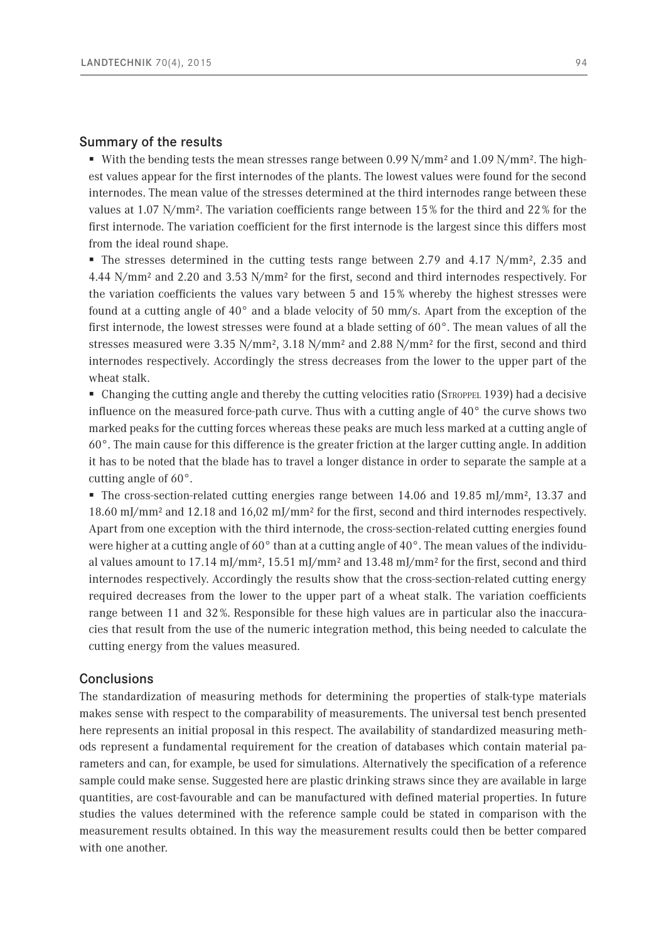#### Summary of the results

With the bending tests the mean stresses range between 0.99  $N/mm^2$  and 1.09  $N/mm^2$ . The highest values appear for the first internodes of the plants. The lowest values were found for the second internodes. The mean value of the stresses determined at the third internodes range between these values at 1.07 N/mm². The variation coefficients range between 15% for the third and 22% for the first internode. The variation coefficient for the first internode is the largest since this differs most from the ideal round shape.

The stresses determined in the cutting tests range between 2.79 and 4.17 N/mm<sup>2</sup>, 2.35 and 4.44 N/mm² and 2.20 and 3.53 N/mm² for the first, second and third internodes respectively. For the variation coefficients the values vary between 5 and 15% whereby the highest stresses were found at a cutting angle of 40° and a blade velocity of 50 mm/s. Apart from the exception of the first internode, the lowest stresses were found at a blade setting of 60°. The mean values of all the stresses measured were 3.35 N/mm², 3.18 N/mm² and 2.88 N/mm² for the first, second and third internodes respectively. Accordingly the stress decreases from the lower to the upper part of the wheat stalk.

• Changing the cutting angle and thereby the cutting velocities ratio (STROPPEL 1939) had a decisive influence on the measured force-path curve. Thus with a cutting angle of  $40^{\circ}$  the curve shows two marked peaks for the cutting forces whereas these peaks are much less marked at a cutting angle of 60°. The main cause for this difference is the greater friction at the larger cutting angle. In addition it has to be noted that the blade has to travel a longer distance in order to separate the sample at a cutting angle of 60°.

 The cross-section-related cutting energies range between 14.06 and 19.85 mJ/mm², 13.37 and 18.60 mJ/mm² and 12.18 and 16,02 mJ/mm² for the first, second and third internodes respectively. Apart from one exception with the third internode, the cross-section-related cutting energies found were higher at a cutting angle of 60 $^{\circ}$  than at a cutting angle of 40 $^{\circ}$ . The mean values of the individual values amount to 17.14 mJ/mm², 15.51 mJ/mm² and 13.48 mJ/mm² for the first, second and third internodes respectively. Accordingly the results show that the cross-section-related cutting energy required decreases from the lower to the upper part of a wheat stalk. The variation coefficients range between 11 and 32%. Responsible for these high values are in particular also the inaccuracies that result from the use of the numeric integration method, this being needed to calculate the cutting energy from the values measured.

# **Conclusions**

The standardization of measuring methods for determining the properties of stalk-type materials makes sense with respect to the comparability of measurements. The universal test bench presented here represents an initial proposal in this respect. The availability of standardized measuring methods represent a fundamental requirement for the creation of databases which contain material parameters and can, for example, be used for simulations. Alternatively the specification of a reference sample could make sense. Suggested here are plastic drinking straws since they are available in large quantities, are cost-favourable and can be manufactured with defined material properties. In future studies the values determined with the reference sample could be stated in comparison with the measurement results obtained. In this way the measurement results could then be better compared with one another.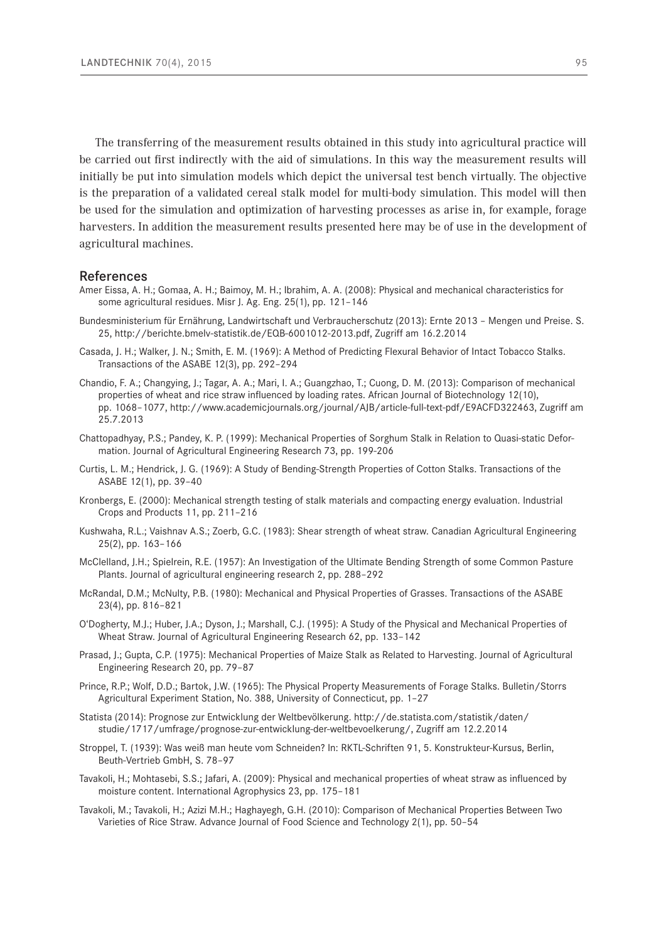The transferring of the measurement results obtained in this study into agricultural practice will be carried out first indirectly with the aid of simulations. In this way the measurement results will initially be put into simulation models which depict the universal test bench virtually. The objective is the preparation of a validated cereal stalk model for multi-body simulation. This model will then be used for the simulation and optimization of harvesting processes as arise in, for example, forage harvesters. In addition the measurement results presented here may be of use in the development of agricultural machines.

#### References

- Amer Eissa, A. H.; Gomaa, A. H.; Baimoy, M. H.; Ibrahim, A. A. (2008): Physical and mechanical characteristics for some agricultural residues. Misr J. Ag. Eng. 25(1), pp. 121–146
- Bundesministerium für Ernährung, Landwirtschaft und Verbraucherschutz (2013): Ernte 2013 Mengen und Preise. S. 25, [http://berichte.bmelv-statistik.de/EQB-6001012-2013.pdf,](http://berichte.bmelv-statistik.de/EQB-6001012-2013.pdf) Zugriff am 16.2.2014
- Casada, J. H.; Walker, J. N.; Smith, E. M. (1969): A Method of Predicting Flexural Behavior of Intact Tobacco Stalks. Transactions of the ASABE 12(3), pp. 292–294
- Chandio, F. A.; Changying, J.; Tagar, A. A.; Mari, I. A.; Guangzhao, T.; Cuong, D. M. (2013): Comparison of mechanical properties of wheat and rice straw influenced by loading rates. African Journal of Biotechnology 12(10), pp. 1068–1077, http://www.academicjournals.org/journal/AJB/article-full-text-pdf/E9ACFD322463, Zugriff am 25.7.2013
- Chattopadhyay, P.S.; Pandey, K. P. (1999): Mechanical Properties of Sorghum Stalk in Relation to Quasi-static Deformation. Journal of Agricultural Engineering Research 73, pp. 199-206
- Curtis, L. M.; Hendrick, J. G. (1969): A Study of Bending-Strength Properties of Cotton Stalks. Transactions of the ASABE 12(1), pp. 39–40
- Kronbergs, E. (2000): Mechanical strength testing of stalk materials and compacting energy evaluation. Industrial Crops and Products 11, pp. 211–216
- Kushwaha, R.L.; Vaishnav A.S.; Zoerb, G.C. (1983): Shear strength of wheat straw. Canadian Agricultural Engineering 25(2), pp. 163–166
- McClelland, J.H.; Spielrein, R.E. (1957): An Investigation of the Ultimate Bending Strength of some Common Pasture Plants. Journal of agricultural engineering research 2, pp. 288–292
- McRandal, D.M.; McNulty, P.B. (1980): Mechanical and Physical Properties of Grasses. Transactions of the ASABE 23(4), pp. 816–821
- O'Dogherty, M.J.; Huber, J.A.; Dyson, J.; Marshall, C.J. (1995): A Study of the Physical and Mechanical Properties of Wheat Straw. Journal of Agricultural Engineering Research 62, pp. 133–142
- Prasad, J.; Gupta, C.P. (1975): Mechanical Properties of Maize Stalk as Related to Harvesting. Journal of Agricultural Engineering Research 20, pp. 79–87
- Prince, R.P.; Wolf, D.D.; Bartok, J.W. (1965): The Physical Property Measurements of Forage Stalks. Bulletin/Storrs Agricultural Experiment Station, No. 388, University of Connecticut, pp. 1–27
- Statista (2014): Prognose zur Entwicklung der Weltbevölkerung. [http://de.statista.com/statistik/daten/](http://de.statista.com/statistik/daten/studie/1717/umfrage/prognose-zur-entwicklung-der-weltbevoelkerung/) [studie/1717/umfrage/prognose-zur-entwicklung-der-weltbevoelkerung/](http://de.statista.com/statistik/daten/studie/1717/umfrage/prognose-zur-entwicklung-der-weltbevoelkerung/), Zugriff am 12.2.2014
- Stroppel, T. (1939): Was weiß man heute vom Schneiden? In: RKTL-Schriften 91, 5. Konstrukteur-Kursus, Berlin, Beuth-Vertrieb GmbH, S. 78–97
- Tavakoli, H.; Mohtasebi, S.S.; Jafari, A. (2009): Physical and mechanical properties of wheat straw as influenced by moisture content. International Agrophysics 23, pp. 175–181
- Tavakoli, M.; Tavakoli, H.; Azizi M.H.; Haghayegh, G.H. (2010): Comparison of Mechanical Properties Between Two Varieties of Rice Straw. Advance Journal of Food Science and Technology 2(1), pp. 50–54